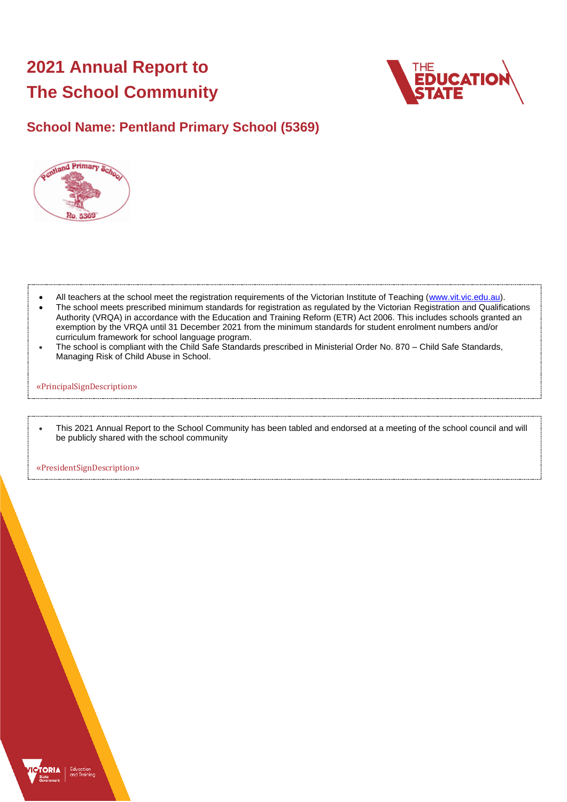# **2021 Annual Report to The School Community**



# **School Name: Pentland Primary School (5369)**



- All teachers at the school meet the registration requirements of the Victorian Institute of Teaching [\(www.vit.vic.edu.au\)](https://www.vit.vic.edu.au/).
- The school meets prescribed minimum standards for registration as regulated by the Victorian Registration and Qualifications Authority (VRQA) in accordance with the Education and Training Reform (ETR) Act 2006. This includes schools granted an exemption by the VRQA until 31 December 2021 from the minimum standards for student enrolment numbers and/or curriculum framework for school language program.
- The school is compliant with the Child Safe Standards prescribed in Ministerial Order No. 870 Child Safe Standards, Managing Risk of Child Abuse in School.

#### «PrincipalSignDescription»

• This 2021 Annual Report to the School Community has been tabled and endorsed at a meeting of the school council and will be publicly shared with the school community

«PresidentSignDescription»

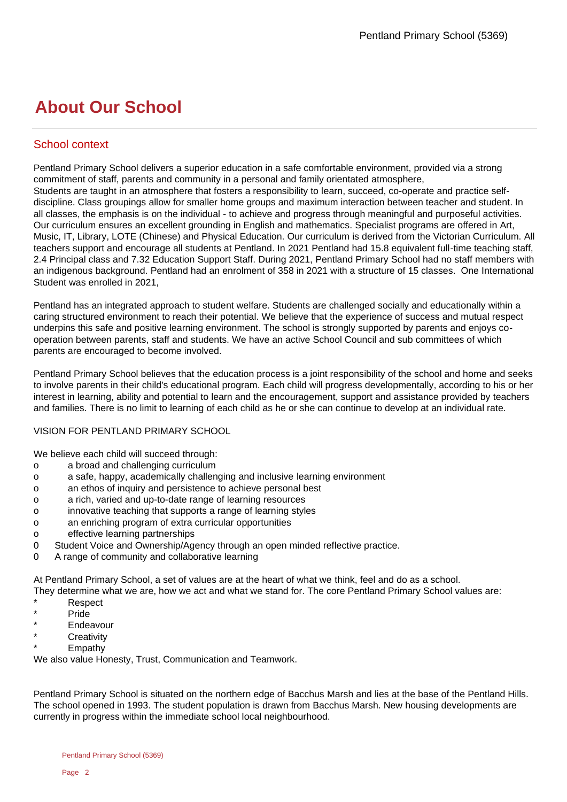# **About Our School**

# School context

Pentland Primary School delivers a superior education in a safe comfortable environment, provided via a strong commitment of staff, parents and community in a personal and family orientated atmosphere, Students are taught in an atmosphere that fosters a responsibility to learn, succeed, co-operate and practice selfdiscipline. Class groupings allow for smaller home groups and maximum interaction between teacher and student. In all classes, the emphasis is on the individual - to achieve and progress through meaningful and purposeful activities. Our curriculum ensures an excellent grounding in English and mathematics. Specialist programs are offered in Art, Music, IT, Library, LOTE (Chinese) and Physical Education. Our curriculum is derived from the Victorian Curriculum. All teachers support and encourage all students at Pentland. In 2021 Pentland had 15.8 equivalent full-time teaching staff, 2.4 Principal class and 7.32 Education Support Staff. During 2021, Pentland Primary School had no staff members with an indigenous background. Pentland had an enrolment of 358 in 2021 with a structure of 15 classes. One International Student was enrolled in 2021,

Pentland has an integrated approach to student welfare. Students are challenged socially and educationally within a caring structured environment to reach their potential. We believe that the experience of success and mutual respect underpins this safe and positive learning environment. The school is strongly supported by parents and enjoys cooperation between parents, staff and students. We have an active School Council and sub committees of which parents are encouraged to become involved.

Pentland Primary School believes that the education process is a joint responsibility of the school and home and seeks to involve parents in their child's educational program. Each child will progress developmentally, according to his or her interest in learning, ability and potential to learn and the encouragement, support and assistance provided by teachers and families. There is no limit to learning of each child as he or she can continue to develop at an individual rate.

# VISION FOR PENTLAND PRIMARY SCHOOL

We believe each child will succeed through:

- o a broad and challenging curriculum
- o a safe, happy, academically challenging and inclusive learning environment
- o an ethos of inquiry and persistence to achieve personal best
- o a rich, varied and up-to-date range of learning resources
- o innovative teaching that supports a range of learning styles
- o an enriching program of extra curricular opportunities
- o effective learning partnerships
- 0 Student Voice and Ownership/Agency through an open minded reflective practice.
- 0 A range of community and collaborative learning

At Pentland Primary School, a set of values are at the heart of what we think, feel and do as a school.

They determine what we are, how we act and what we stand for. The core Pentland Primary School values are: \* Respect

- \* Pride
- **Endeavour**
- **Creativity**
- **Empathy**

We also value Honesty, Trust, Communication and Teamwork.

Pentland Primary School is situated on the northern edge of Bacchus Marsh and lies at the base of the Pentland Hills. The school opened in 1993. The student population is drawn from Bacchus Marsh. New housing developments are currently in progress within the immediate school local neighbourhood.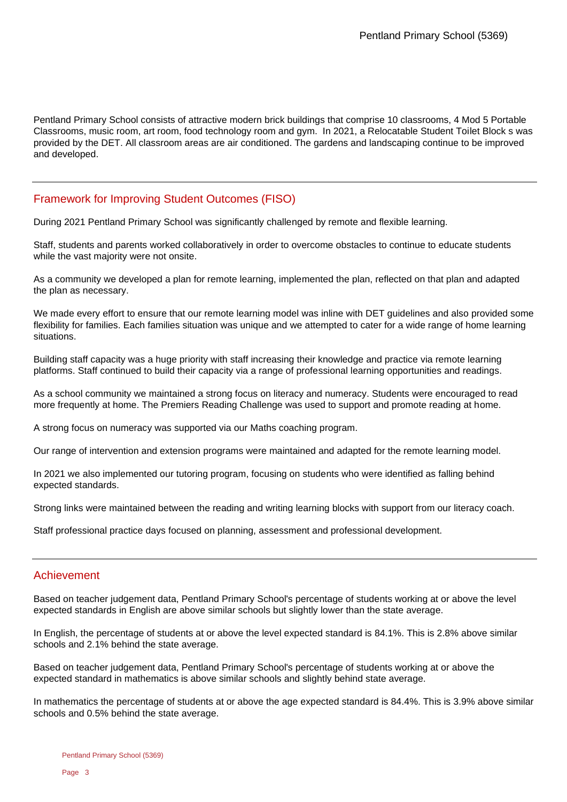Pentland Primary School consists of attractive modern brick buildings that comprise 10 classrooms, 4 Mod 5 Portable Classrooms, music room, art room, food technology room and gym. In 2021, a Relocatable Student Toilet Block s was provided by the DET. All classroom areas are air conditioned. The gardens and landscaping continue to be improved and developed.

# Framework for Improving Student Outcomes (FISO)

During 2021 Pentland Primary School was significantly challenged by remote and flexible learning.

Staff, students and parents worked collaboratively in order to overcome obstacles to continue to educate students while the vast majority were not onsite.

As a community we developed a plan for remote learning, implemented the plan, reflected on that plan and adapted the plan as necessary.

We made every effort to ensure that our remote learning model was inline with DET guidelines and also provided some flexibility for families. Each families situation was unique and we attempted to cater for a wide range of home learning situations.

Building staff capacity was a huge priority with staff increasing their knowledge and practice via remote learning platforms. Staff continued to build their capacity via a range of professional learning opportunities and readings.

As a school community we maintained a strong focus on literacy and numeracy. Students were encouraged to read more frequently at home. The Premiers Reading Challenge was used to support and promote reading at home.

A strong focus on numeracy was supported via our Maths coaching program.

Our range of intervention and extension programs were maintained and adapted for the remote learning model.

In 2021 we also implemented our tutoring program, focusing on students who were identified as falling behind expected standards.

Strong links were maintained between the reading and writing learning blocks with support from our literacy coach.

Staff professional practice days focused on planning, assessment and professional development.

# Achievement

Based on teacher judgement data, Pentland Primary School's percentage of students working at or above the level expected standards in English are above similar schools but slightly lower than the state average.

In English, the percentage of students at or above the level expected standard is 84.1%. This is 2.8% above similar schools and 2.1% behind the state average.

Based on teacher judgement data, Pentland Primary School's percentage of students working at or above the expected standard in mathematics is above similar schools and slightly behind state average.

In mathematics the percentage of students at or above the age expected standard is 84.4%. This is 3.9% above similar schools and 0.5% behind the state average.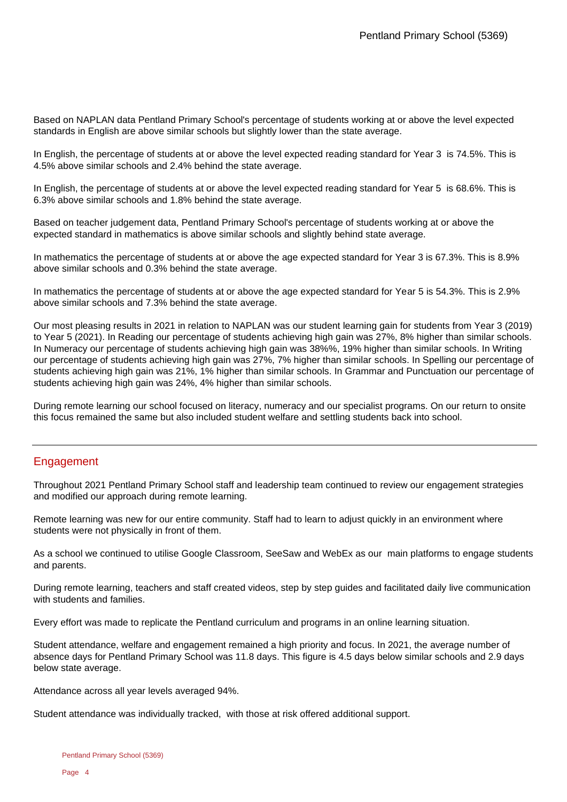Based on NAPLAN data Pentland Primary School's percentage of students working at or above the level expected standards in English are above similar schools but slightly lower than the state average.

In English, the percentage of students at or above the level expected reading standard for Year 3 is 74.5%. This is 4.5% above similar schools and 2.4% behind the state average.

In English, the percentage of students at or above the level expected reading standard for Year 5 is 68.6%. This is 6.3% above similar schools and 1.8% behind the state average.

Based on teacher judgement data, Pentland Primary School's percentage of students working at or above the expected standard in mathematics is above similar schools and slightly behind state average.

In mathematics the percentage of students at or above the age expected standard for Year 3 is 67.3%. This is 8.9% above similar schools and 0.3% behind the state average.

In mathematics the percentage of students at or above the age expected standard for Year 5 is 54.3%. This is 2.9% above similar schools and 7.3% behind the state average.

Our most pleasing results in 2021 in relation to NAPLAN was our student learning gain for students from Year 3 (2019) to Year 5 (2021). In Reading our percentage of students achieving high gain was 27%, 8% higher than similar schools. In Numeracy our percentage of students achieving high gain was 38%%, 19% higher than similar schools. In Writing our percentage of students achieving high gain was 27%, 7% higher than similar schools. In Spelling our percentage of students achieving high gain was 21%, 1% higher than similar schools. In Grammar and Punctuation our percentage of students achieving high gain was 24%, 4% higher than similar schools.

During remote learning our school focused on literacy, numeracy and our specialist programs. On our return to onsite this focus remained the same but also included student welfare and settling students back into school.

# Engagement

Throughout 2021 Pentland Primary School staff and leadership team continued to review our engagement strategies and modified our approach during remote learning.

Remote learning was new for our entire community. Staff had to learn to adjust quickly in an environment where students were not physically in front of them.

As a school we continued to utilise Google Classroom, SeeSaw and WebEx as our main platforms to engage students and parents.

During remote learning, teachers and staff created videos, step by step guides and facilitated daily live communication with students and families.

Every effort was made to replicate the Pentland curriculum and programs in an online learning situation.

Student attendance, welfare and engagement remained a high priority and focus. In 2021, the average number of absence days for Pentland Primary School was 11.8 days. This figure is 4.5 days below similar schools and 2.9 days below state average.

Attendance across all year levels averaged 94%.

Student attendance was individually tracked, with those at risk offered additional support.